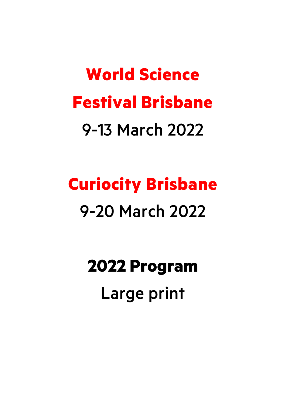# **World Science Festival Brisbane** 9-13 March 2022

# **Curiocity Brisbane** 9-20 March 2022

**2022 Program** Large print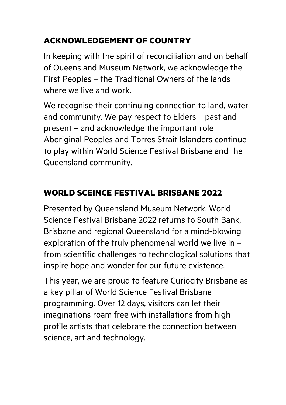# **ACKNOWLEDGEMENT OF COUNTRY**

In keeping with the spirit of reconciliation and on behalf of Queensland Museum Network, we acknowledge the First Peoples – the Traditional Owners of the lands where we live and work.

We recognise their continuing connection to land, water and community. We pay respect to Elders – past and present – and acknowledge the important role Aboriginal Peoples and Torres Strait Islanders continue to play within World Science Festival Brisbane and the Queensland community.

# **WORLD SCEINCE FESTIVAL BRISBANE 2022**

Presented by Queensland Museum Network, World Science Festival Brisbane 2022 returns to South Bank, Brisbane and regional Queensland for a mind-blowing exploration of the truly phenomenal world we live in – from scientific challenges to technological solutions that inspire hope and wonder for our future existence.

This year, we are proud to feature Curiocity Brisbane as a key pillar of World Science Festival Brisbane programming. Over 12 days, visitors can let their imaginations roam free with installations from highprofile artists that celebrate the connection between science, art and technology.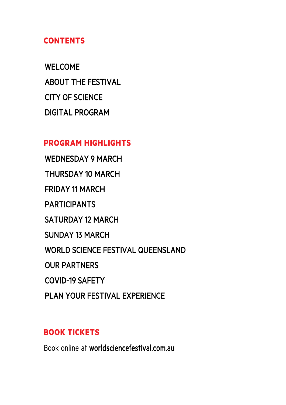#### **CONTENTS**

WELCOME ABOUT THE FESTIVAL CITY OF SCIENCE DIGITAL PROGRAM

#### **PROGRAM HIGHLIGHTS**

WEDNESDAY 9 MARCH THURSDAY 10 MARCH FRIDAY 11 MARCH PARTICIPANTS SATURDAY 12 MARCH SUNDAY 13 MARCH WORLD SCIENCE FESTIVAL QUEENSLAND OUR PARTNERS COVID-19 SAFETY

# PLAN YOUR FESTIVAL EXPERIENCE

#### **BOOK TICKETS**

Book online at worldsciencefestival.com.au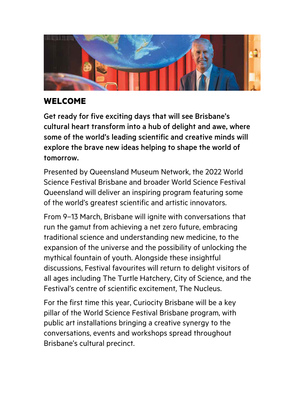

# **WELCOME**

Get ready for five exciting days that will see Brisbane's cultural heart transform into a hub of delight and awe, where some of the world's leading scientific and creative minds will explore the brave new ideas helping to shape the world of tomorrow.

Presented by Queensland Museum Network, the 2022 World Science Festival Brisbane and broader World Science Festival Queensland will deliver an inspiring program featuring some of the world's greatest scientific and artistic innovators.

From 9–13 March, Brisbane will ignite with conversations that run the gamut from achieving a net zero future, embracing traditional science and understanding new medicine, to the expansion of the universe and the possibility of unlocking the mythical fountain of youth. Alongside these insightful discussions, Festival favourites will return to delight visitors of all ages including The Turtle Hatchery, City of Science, and the Festival's centre of scientific excitement, The Nucleus.

For the first time this year, Curiocity Brisbane will be a key pillar of the World Science Festival Brisbane program, with public art installations bringing a creative synergy to the conversations, events and workshops spread throughout Brisbane's cultural precinct.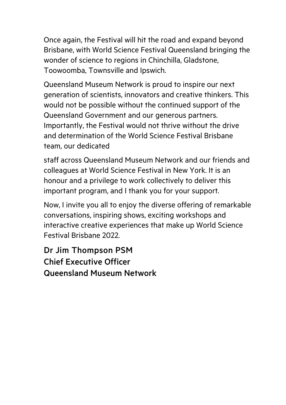Once again, the Festival will hit the road and expand beyond Brisbane, with World Science Festival Queensland bringing the wonder of science to regions in Chinchilla, Gladstone, Toowoomba, Townsville and Ipswich.

Queensland Museum Network is proud to inspire our next generation of scientists, innovators and creative thinkers. This would not be possible without the continued support of the Queensland Government and our generous partners. Importantly, the Festival would not thrive without the drive and determination of the World Science Festival Brisbane team, our dedicated

staff across Queensland Museum Network and our friends and colleagues at World Science Festival in New York. It is an honour and a privilege to work collectively to deliver this important program, and I thank you for your support.

Now, I invite you all to enjoy the diverse offering of remarkable conversations, inspiring shows, exciting workshops and interactive creative experiences that make up World Science Festival Brisbane 2022.

Dr Jim Thompson PSM Chief Executive Officer Queensland Museum Network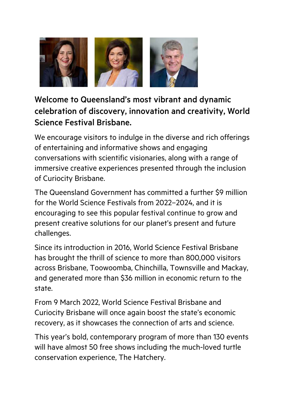

Welcome to Queensland's most vibrant and dynamic celebration of discovery, innovation and creativity, World Science Festival Brisbane.

We encourage visitors to indulge in the diverse and rich offerings of entertaining and informative shows and engaging conversations with scientific visionaries, along with a range of immersive creative experiences presented through the inclusion of Curiocity Brisbane.

The Queensland Government has committed a further \$9 million for the World Science Festivals from 2022–2024, and it is encouraging to see this popular festival continue to grow and present creative solutions for our planet's present and future challenges.

Since its introduction in 2016, World Science Festival Brisbane has brought the thrill of science to more than 800,000 visitors across Brisbane, Toowoomba, Chinchilla, Townsville and Mackay, and generated more than \$36 million in economic return to the state.

From 9 March 2022, World Science Festival Brisbane and Curiocity Brisbane will once again boost the state's economic recovery, as it showcases the connection of arts and science.

This year's bold, contemporary program of more than 130 events will have almost 50 free shows including the much-loved turtle conservation experience, The Hatchery.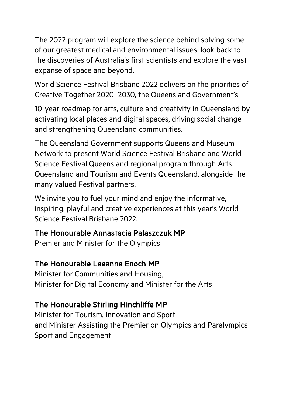The 2022 program will explore the science behind solving some of our greatest medical and environmental issues, look back to the discoveries of Australia's first scientists and explore the vast expanse of space and beyond.

World Science Festival Brisbane 2022 delivers on the priorities of Creative Together 2020–2030, the Queensland Government's

10-year roadmap for arts, culture and creativity in Queensland by activating local places and digital spaces, driving social change and strengthening Queensland communities.

The Queensland Government supports Queensland Museum Network to present World Science Festival Brisbane and World Science Festival Queensland regional program through Arts Queensland and Tourism and Events Queensland, alongside the many valued Festival partners.

We invite you to fuel your mind and enjoy the informative, inspiring, playful and creative experiences at this year's World Science Festival Brisbane 2022.

#### The Honourable Annastacia Palaszczuk MP

Premier and Minister for the Olympics

#### The Honourable Leeanne Enoch MP

Minister for Communities and Housing, Minister for Digital Economy and Minister for the Arts

#### The Honourable Stirling Hinchliffe MP

Minister for Tourism, Innovation and Sport and Minister Assisting the Premier on Olympics and Paralympics Sport and Engagement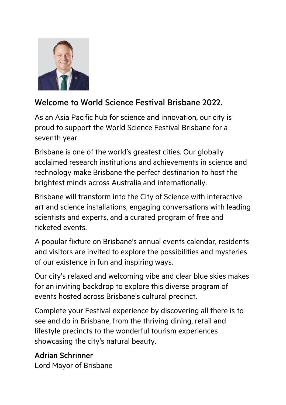

## Welcome to World Science Festival Brisbane 2022.

As an Asia Pacific hub for science and innovation, our city is proud to support the World Science Festival Brisbane for a seventh year.

Brisbane is one of the world's greatest cities. Our globally acclaimed research institutions and achievements in science and technology make Brisbane the perfect destination to host the brightest minds across Australia and internationally.

Brisbane will transform into the City of Science with interactive art and science installations, engaging conversations with leading scientists and experts, and a curated program of free and ticketed events.

A popular fixture on Brisbane's annual events calendar, residents and visitors are invited to explore the possibilities and mysteries of our existence in fun and inspiring ways.

Our city's relaxed and welcoming vibe and clear blue skies makes for an inviting backdrop to explore this diverse program of events hosted across Brisbane's cultural precinct.

Complete your Festival experience by discovering all there is to see and do in Brisbane, from the thriving dining, retail and lifestyle precincts to the wonderful tourism experiences showcasing the city's natural beauty.

# Adrian Schrinner

Lord Mayor of Brisbane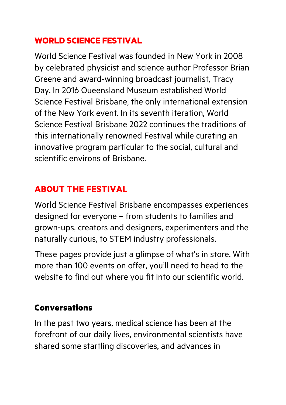## **WORLD SCIENCE FESTIVAL**

World Science Festival was founded in New York in 2008 by celebrated physicist and science author Professor Brian Greene and award-winning broadcast journalist, Tracy Day. In 2016 Queensland Museum established World Science Festival Brisbane, the only international extension of the New York event. In its seventh iteration, World Science Festival Brisbane 2022 continues the traditions of this internationally renowned Festival while curating an innovative program particular to the social, cultural and scientific environs of Brisbane.

# **ABOUT THE FESTIVAL**

World Science Festival Brisbane encompasses experiences designed for everyone – from students to families and grown-ups, creators and designers, experimenters and the naturally curious, to STEM industry professionals.

These pages provide just a glimpse of what's in store. With more than 100 events on offer, you'll need to head to the website to find out where you fit into our scientific world.

#### **Conversations**

In the past two years, medical science has been at the forefront of our daily lives, environmental scientists have shared some startling discoveries, and advances in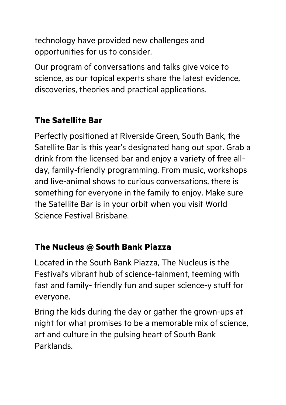technology have provided new challenges and opportunities for us to consider.

Our program of conversations and talks give voice to science, as our topical experts share the latest evidence, discoveries, theories and practical applications.

# **The Satellite Bar**

Perfectly positioned at Riverside Green, South Bank, the Satellite Bar is this year's designated hang out spot. Grab a drink from the licensed bar and enjoy a variety of free allday, family-friendly programming. From music, workshops and live-animal shows to curious conversations, there is something for everyone in the family to enjoy. Make sure the Satellite Bar is in your orbit when you visit World Science Festival Brisbane.

# **The Nucleus @ South Bank Piazza**

Located in the South Bank Piazza, The Nucleus is the Festival's vibrant hub of science-tainment, teeming with fast and family- friendly fun and super science-y stuff for everyone.

Bring the kids during the day or gather the grown-ups at night for what promises to be a memorable mix of science, art and culture in the pulsing heart of South Bank Parklands.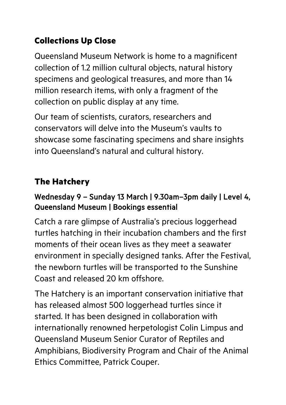# **Collections Up Close**

Queensland Museum Network is home to a magnificent collection of 1.2 million cultural objects, natural history specimens and geological treasures, and more than 14 million research items, with only a fragment of the collection on public display at any time.

Our team of scientists, curators, researchers and conservators will delve into the Museum's vaults to showcase some fascinating specimens and share insights into Queensland's natural and cultural history.

# **The Hatchery**

## Wednesday 9 – Sunday 13 March | 9.30am–3pm daily | Level 4, Queensland Museum | Bookings essential

Catch a rare glimpse of Australia's precious loggerhead turtles hatching in their incubation chambers and the first moments of their ocean lives as they meet a seawater environment in specially designed tanks. After the Festival, the newborn turtles will be transported to the Sunshine Coast and released 20 km offshore.

The Hatchery is an important conservation initiative that has released almost 500 loggerhead turtles since it started. It has been designed in collaboration with internationally renowned herpetologist Colin Limpus and Queensland Museum Senior Curator of Reptiles and Amphibians, Biodiversity Program and Chair of the Animal Ethics Committee, Patrick Couper.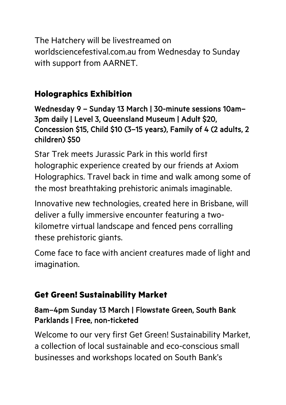The Hatchery will be livestreamed on worldsciencefestival.com.au from Wednesday to Sunday with support from AARNET.

# **Holographics Exhibition**

Wednesday 9 – Sunday 13 March | 30-minute sessions 10am– 3pm daily | Level 3, Queensland Museum | Adult \$20, Concession \$15, Child \$10 (3–15 years), Family of 4 (2 adults, 2 children) \$50

Star Trek meets Jurassic Park in this world first holographic experience created by our friends at Axiom Holographics. Travel back in time and walk among some of the most breathtaking prehistoric animals imaginable.

Innovative new technologies, created here in Brisbane, will deliver a fully immersive encounter featuring a twokilometre virtual landscape and fenced pens corralling these prehistoric giants.

Come face to face with ancient creatures made of light and imagination.

# **Get Green! Sustainability Market**

#### 8am–4pm Sunday 13 March | Flowstate Green, South Bank Parklands | Free, non-ticketed

Welcome to our very first Get Green! Sustainability Market, a collection of local sustainable and eco-conscious small businesses and workshops located on South Bank's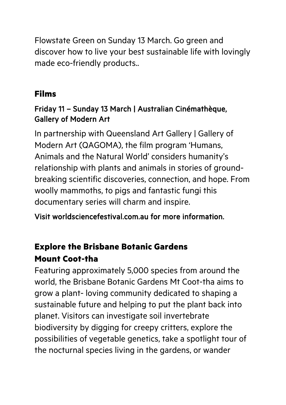Flowstate Green on Sunday 13 March. Go green and discover how to live your best sustainable life with lovingly made eco-friendly products..

## **Films**

#### Friday 11 – Sunday 13 March | Australian Cinémathèque, Gallery of Modern Art

In partnership with Queensland Art Gallery | Gallery of Modern Art (QAGOMA), the film program 'Humans, Animals and the Natural World' considers humanity's relationship with plants and animals in stories of groundbreaking scientific discoveries, connection, and hope. From woolly mammoths, to pigs and fantastic fungi this documentary series will charm and inspire.

Visit worldsciencefestival.com.au for more information.

# **Explore the Brisbane Botanic Gardens Mount Coot-tha**

Featuring approximately 5,000 species from around the world, the Brisbane Botanic Gardens Mt Coot-tha aims to grow a plant- loving community dedicated to shaping a sustainable future and helping to put the plant back into planet. Visitors can investigate soil invertebrate biodiversity by digging for creepy critters, explore the possibilities of vegetable genetics, take a spotlight tour of the nocturnal species living in the gardens, or wander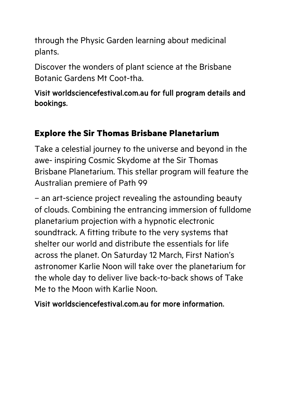through the Physic Garden learning about medicinal plants.

Discover the wonders of plant science at the Brisbane Botanic Gardens Mt Coot-tha.

Visit worldsciencefestival.com.au for full program details and bookings.

# **Explore the Sir Thomas Brisbane Planetarium**

Take a celestial journey to the universe and beyond in the awe- inspiring Cosmic Skydome at the Sir Thomas Brisbane Planetarium. This stellar program will feature the Australian premiere of Path 99

– an art-science project revealing the astounding beauty of clouds. Combining the entrancing immersion of fulldome planetarium projection with a hypnotic electronic soundtrack. A fitting tribute to the very systems that shelter our world and distribute the essentials for life across the planet. On Saturday 12 March, First Nation's astronomer Karlie Noon will take over the planetarium for the whole day to deliver live back-to-back shows of Take Me to the Moon with Karlie Noon.

Visit worldsciencefestival.com.au for more information.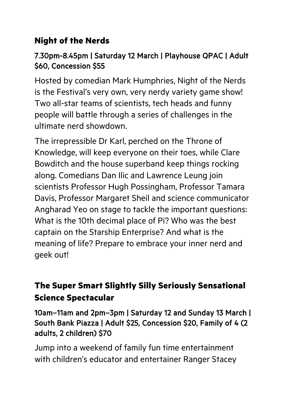# **Night of the Nerds**

## 7.30pm-8.45pm | Saturday 12 March | Playhouse QPAC | Adult \$60, Concession \$55

Hosted by comedian Mark Humphries, Night of the Nerds is the Festival's very own, very nerdy variety game show! Two all-star teams of scientists, tech heads and funny people will battle through a series of challenges in the ultimate nerd showdown.

The irrepressible Dr Karl, perched on the Throne of Knowledge, will keep everyone on their toes, while Clare Bowditch and the house superband keep things rocking along. Comedians Dan Ilic and Lawrence Leung join scientists Professor Hugh Possingham, Professor Tamara Davis, Professor Margaret Sheil and science communicator Angharad Yeo on stage to tackle the important questions: What is the 10th decimal place of Pi? Who was the best captain on the Starship Enterprise? And what is the meaning of life? Prepare to embrace your inner nerd and geek out!

# **The Super Smart Slightly Silly Seriously Sensational Science Spectacular**

10am–11am and 2pm–3pm | Saturday 12 and Sunday 13 March | South Bank Piazza | Adult \$25, Concession \$20, Family of 4 (2 adults, 2 children) \$70

Jump into a weekend of family fun time entertainment with children's educator and entertainer Ranger Stacey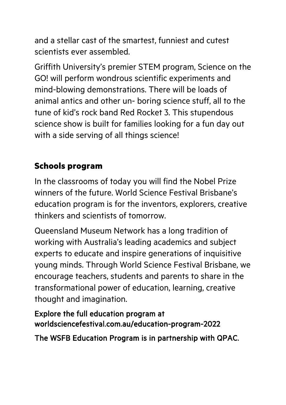and a stellar cast of the smartest, funniest and cutest scientists ever assembled.

Griffith University's premier STEM program, Science on the GO! will perform wondrous scientific experiments and mind-blowing demonstrations. There will be loads of animal antics and other un- boring science stuff, all to the tune of kid's rock band Red Rocket 3. This stupendous science show is built for families looking for a fun day out with a side serving of all things science!

# **Schools program**

In the classrooms of today you will find the Nobel Prize winners of the future. World Science Festival Brisbane's education program is for the inventors, explorers, creative thinkers and scientists of tomorrow.

Queensland Museum Network has a long tradition of working with Australia's leading academics and subject experts to educate and inspire generations of inquisitive young minds. Through World Science Festival Brisbane, we encourage teachers, students and parents to share in the transformational power of education, learning, creative thought and imagination.

Explore the full education program at worldsciencefestival.com.au/education-program-2022

The WSFB Education Program is in partnership with QPAC.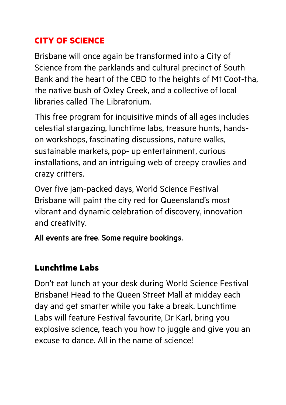# **CITY OF SCIENCE**

Brisbane will once again be transformed into a City of Science from the parklands and cultural precinct of South Bank and the heart of the CBD to the heights of Mt Coot-tha, the native bush of Oxley Creek, and a collective of local libraries called The Libratorium.

This free program for inquisitive minds of all ages includes celestial stargazing, lunchtime labs, treasure hunts, handson workshops, fascinating discussions, nature walks, sustainable markets, pop- up entertainment, curious installations, and an intriguing web of creepy crawlies and crazy critters.

Over five jam-packed days, World Science Festival Brisbane will paint the city red for Queensland's most vibrant and dynamic celebration of discovery, innovation and creativity.

All events are free. Some require bookings.

# **Lunchtime Labs**

Don't eat lunch at your desk during World Science Festival Brisbane! Head to the Queen Street Mall at midday each day and get smarter while you take a break. Lunchtime Labs will feature Festival favourite, Dr Karl, bring you explosive science, teach you how to juggle and give you an excuse to dance. All in the name of science!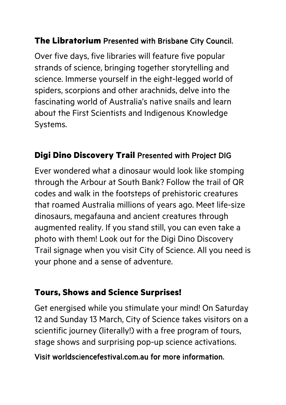## **The Libratorium** Presented with Brisbane City Council.

Over five days, five libraries will feature five popular strands of science, bringing together storytelling and science. Immerse yourself in the eight-legged world of spiders, scorpions and other arachnids, delve into the fascinating world of Australia's native snails and learn about the First Scientists and Indigenous Knowledge Systems.

#### **Digi Dino Discovery Trail** Presented with Project DIG

Ever wondered what a dinosaur would look like stomping through the Arbour at South Bank? Follow the trail of QR codes and walk in the footsteps of prehistoric creatures that roamed Australia millions of years ago. Meet life-size dinosaurs, megafauna and ancient creatures through augmented reality. If you stand still, you can even take a photo with them! Look out for the Digi Dino Discovery Trail signage when you visit City of Science. All you need is your phone and a sense of adventure.

#### **Tours, Shows and Science Surprises!**

Get energised while you stimulate your mind! On Saturday 12 and Sunday 13 March, City of Science takes visitors on a scientific journey (literally!) with a free program of tours, stage shows and surprising pop-up science activations.

#### Visit worldsciencefestival.com.au for more information.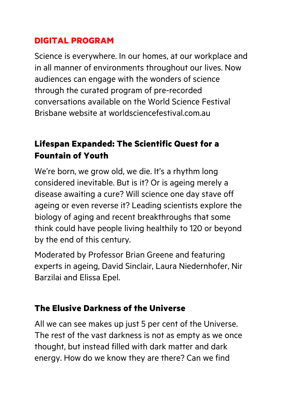# **DIGITAL PROGRAM**

Science is everywhere. In our homes, at our workplace and in all manner of environments throughout our lives. Now audiences can engage with the wonders of science through the curated program of pre-recorded conversations available on the World Science Festival Brisbane website at worldsciencefestival.com.au

# **Lifespan Expanded: The Scientific Quest for a Fountain of Youth**

We're born, we grow old, we die. It's a rhythm long considered inevitable. But is it? Or is ageing merely a disease awaiting a cure? Will science one day stave off ageing or even reverse it? Leading scientists explore the biology of aging and recent breakthroughs that some think could have people living healthily to 120 or beyond by the end of this century.

Moderated by Professor Brian Greene and featuring experts in ageing, David Sinclair, Laura Niedernhofer, Nir Barzilai and Elissa Epel.

#### **The Elusive Darkness of the Universe**

All we can see makes up just 5 per cent of the Universe. The rest of the vast darkness is not as empty as we once thought, but instead filled with dark matter and dark energy. How do we know they are there? Can we find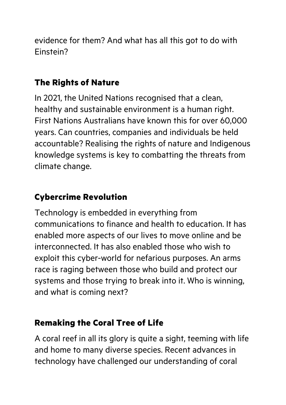evidence for them? And what has all this got to do with Einstein?

# **The Rights of Nature**

In 2021, the United Nations recognised that a clean, healthy and sustainable environment is a human right. First Nations Australians have known this for over 60,000 years. Can countries, companies and individuals be held accountable? Realising the rights of nature and Indigenous knowledge systems is key to combatting the threats from climate change.

# **Cybercrime Revolution**

Technology is embedded in everything from communications to finance and health to education. It has enabled more aspects of our lives to move online and be interconnected. It has also enabled those who wish to exploit this cyber-world for nefarious purposes. An arms race is raging between those who build and protect our systems and those trying to break into it. Who is winning, and what is coming next?

# **Remaking the Coral Tree of Life**

A coral reef in all its glory is quite a sight, teeming with life and home to many diverse species. Recent advances in technology have challenged our understanding of coral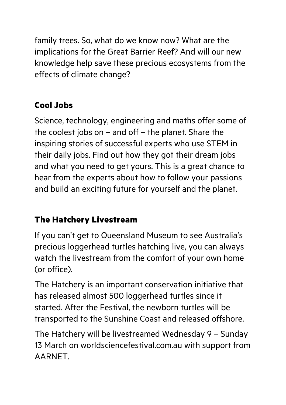family trees. So, what do we know now? What are the implications for the Great Barrier Reef? And will our new knowledge help save these precious ecosystems from the effects of climate change?

# **Cool Jobs**

Science, technology, engineering and maths offer some of the coolest jobs on – and off – the planet. Share the inspiring stories of successful experts who use STEM in their daily jobs. Find out how they got their dream jobs and what you need to get yours. This is a great chance to hear from the experts about how to follow your passions and build an exciting future for yourself and the planet.

# **The Hatchery Livestream**

If you can't get to Queensland Museum to see Australia's precious loggerhead turtles hatching live, you can always watch the livestream from the comfort of your own home (or office).

The Hatchery is an important conservation initiative that has released almost 500 loggerhead turtles since it started. After the Festival, the newborn turtles will be transported to the Sunshine Coast and released offshore.

The Hatchery will be livestreamed Wednesday 9 – Sunday 13 March on worldsciencefestival.com.au with support from AARNET.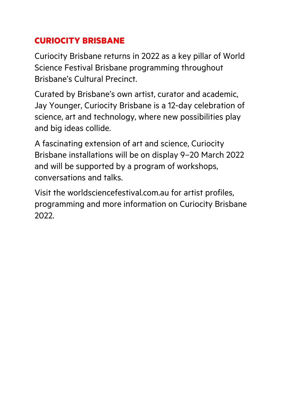# **CURIOCITY BRISBANE**

Curiocity Brisbane returns in 2022 as a key pillar of World Science Festival Brisbane programming throughout Brisbane's Cultural Precinct.

Curated by Brisbane's own artist, curator and academic, Jay Younger, Curiocity Brisbane is a 12-day celebration of science, art and technology, where new possibilities play and big ideas collide.

A fascinating extension of art and science, Curiocity Brisbane installations will be on display 9–20 March 2022 and will be supported by a program of workshops, conversations and talks.

Visit the worldsciencefestival.com.au for artist profiles, programming and more information on Curiocity Brisbane 2022.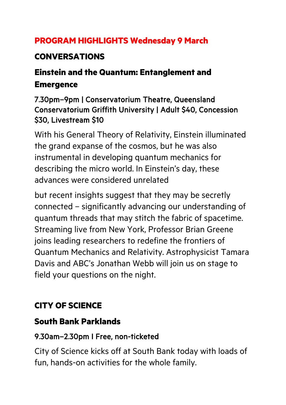# **PROGRAM HIGHLIGHTS Wednesday 9 March**

# **CONVERSATIONS**

# **Einstein and the Quantum: Entanglement and Emergence**

#### 7.30pm–9pm | Conservatorium Theatre, Queensland Conservatorium Griffith University | Adult \$40, Concession \$30, Livestream \$10

With his General Theory of Relativity, Einstein illuminated the grand expanse of the cosmos, but he was also instrumental in developing quantum mechanics for describing the micro world. In Einstein's day, these advances were considered unrelated

but recent insights suggest that they may be secretly connected – significantly advancing our understanding of quantum threads that may stitch the fabric of spacetime. Streaming live from New York, Professor Brian Greene joins leading researchers to redefine the frontiers of Quantum Mechanics and Relativity. Astrophysicist Tamara Davis and ABC's Jonathan Webb will join us on stage to field your questions on the night.

# **CITY OF SCIENCE**

# **South Bank Parklands**

# 9.30am–2.30pm I Free, non-ticketed

City of Science kicks off at South Bank today with loads of fun, hands-on activities for the whole family.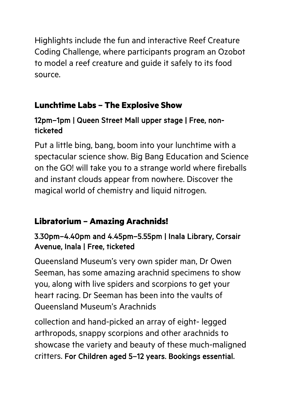Highlights include the fun and interactive Reef Creature Coding Challenge, where participants program an Ozobot to model a reef creature and guide it safely to its food source.

# **Lunchtime Labs – The Explosive Show**

## 12pm–1pm | Queen Street Mall upper stage | Free, nonticketed

Put a little bing, bang, boom into your lunchtime with a spectacular science show. Big Bang Education and Science on the GO! will take you to a strange world where fireballs and instant clouds appear from nowhere. Discover the magical world of chemistry and liquid nitrogen.

# **Libratorium – Amazing Arachnids!**

## 3.30pm–4.40pm and 4.45pm–5.55pm | Inala Library, Corsair Avenue, Inala | Free, ticketed

Queensland Museum's very own spider man, Dr Owen Seeman, has some amazing arachnid specimens to show you, along with live spiders and scorpions to get your heart racing. Dr Seeman has been into the vaults of Queensland Museum's Arachnids

collection and hand-picked an array of eight- legged arthropods, snappy scorpions and other arachnids to showcase the variety and beauty of these much-maligned critters. For Children aged 5–12 years. Bookings essential.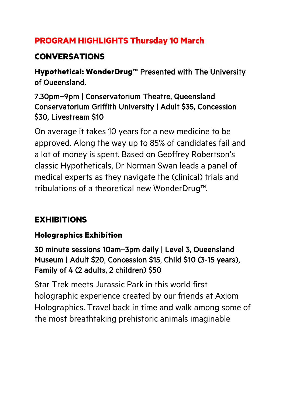# **PROGRAM HIGHLIGHTS Thursday 10 March**

# **CONVERSATIONS**

**Hypothetical: WonderDrug™** Presented with The University of Queensland.

#### 7.30pm–9pm | Conservatorium Theatre, Queensland Conservatorium Griffith University | Adult \$35, Concession \$30, Livestream \$10

On average it takes 10 years for a new medicine to be approved. Along the way up to 85% of candidates fail and a lot of money is spent. Based on Geoffrey Robertson's classic Hypotheticals, Dr Norman Swan leads a panel of medical experts as they navigate the (clinical) trials and tribulations of a theoretical new WonderDrug™.

# **EXHIBITIONS**

# **Holographics Exhibition**

30 minute sessions 10am–3pm daily | Level 3, Queensland Museum | Adult \$20, Concession \$15, Child \$10 (3-15 years), Family of 4 (2 adults, 2 children) \$50

Star Trek meets Jurassic Park in this world first holographic experience created by our friends at Axiom Holographics. Travel back in time and walk among some of the most breathtaking prehistoric animals imaginable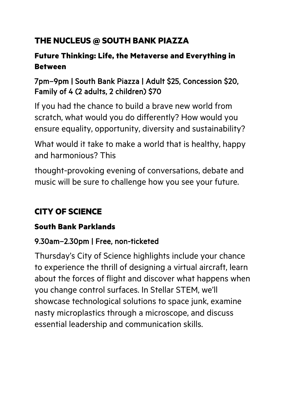# **THE NUCLEUS @ SOUTH BANK PIAZZA**

## **Future Thinking: Life, the Metaverse and Everything in Between**

## 7pm–9pm | South Bank Piazza | Adult \$25, Concession \$20, Family of 4 (2 adults, 2 children) \$70

If you had the chance to build a brave new world from scratch, what would you do differently? How would you ensure equality, opportunity, diversity and sustainability?

What would it take to make a world that is healthy, happy and harmonious? This

thought-provoking evening of conversations, debate and music will be sure to challenge how you see your future.

# **CITY OF SCIENCE**

#### **South Bank Parklands**

#### 9.30am–2.30pm | Free, non-ticketed

Thursday's City of Science highlights include your chance to experience the thrill of designing a virtual aircraft, learn about the forces of flight and discover what happens when you change control surfaces. In Stellar STEM, we'll showcase technological solutions to space junk, examine nasty microplastics through a microscope, and discuss essential leadership and communication skills.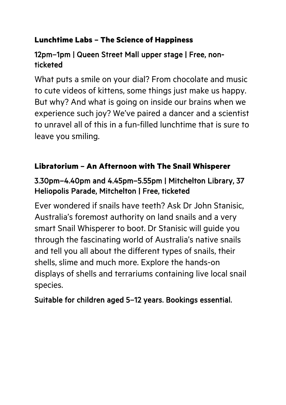## **Lunchtime Labs – The Science of Happiness**

#### 12pm–1pm | Queen Street Mall upper stage | Free, nonticketed

What puts a smile on your dial? From chocolate and music to cute videos of kittens, some things just make us happy. But why? And what is going on inside our brains when we experience such joy? We've paired a dancer and a scientist to unravel all of this in a fun-filled lunchtime that is sure to leave you smiling.

#### **Libratorium – An Afternoon with The Snail Whisperer**

#### 3.30pm–4.40pm and 4.45pm–5.55pm | Mitchelton Library, 37 Heliopolis Parade, Mitchelton | Free, ticketed

Ever wondered if snails have teeth? Ask Dr John Stanisic, Australia's foremost authority on land snails and a very smart Snail Whisperer to boot. Dr Stanisic will guide you through the fascinating world of Australia's native snails and tell you all about the different types of snails, their shells, slime and much more. Explore the hands-on displays of shells and terrariums containing live local snail species.

#### Suitable for children aged 5–12 years. Bookings essential.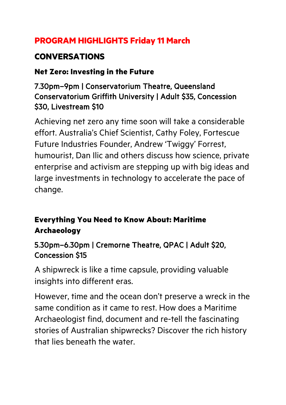# **PROGRAM HIGHLIGHTS Friday 11 March**

# **CONVERSATIONS**

#### **Net Zero: Investing in the Future**

#### 7.30pm–9pm | Conservatorium Theatre, Queensland Conservatorium Griffith University | Adult \$35, Concession \$30, Livestream \$10

Achieving net zero any time soon will take a considerable effort. Australia's Chief Scientist, Cathy Foley, Fortescue Future Industries Founder, Andrew 'Twiggy' Forrest, humourist, Dan Ilic and others discuss how science, private enterprise and activism are stepping up with big ideas and large investments in technology to accelerate the pace of change.

# **Everything You Need to Know About: Maritime Archaeology**

#### 5.30pm–6.30pm | Cremorne Theatre, QPAC | Adult \$20, Concession \$15

A shipwreck is like a time capsule, providing valuable insights into different eras.

However, time and the ocean don't preserve a wreck in the same condition as it came to rest. How does a Maritime Archaeologist find, document and re-tell the fascinating stories of Australian shipwrecks? Discover the rich history that lies beneath the water.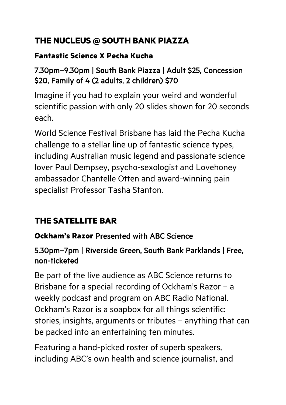# **THE NUCLEUS @ SOUTH BANK PIAZZA**

#### **Fantastic Science X Pecha Kucha**

### 7.30pm–9.30pm | South Bank Piazza | Adult \$25, Concession \$20, Family of 4 (2 adults, 2 children) \$70

Imagine if you had to explain your weird and wonderful scientific passion with only 20 slides shown for 20 seconds each.

World Science Festival Brisbane has laid the Pecha Kucha challenge to a stellar line up of fantastic science types, including Australian music legend and passionate science lover Paul Dempsey, psycho-sexologist and Lovehoney ambassador Chantelle Otten and award-winning pain specialist Professor Tasha Stanton.

# **THE SATELLITE BAR**

# **Ockham's Razor** Presented with ABC Science

## 5.30pm–7pm | Riverside Green, South Bank Parklands | Free, non-ticketed

Be part of the live audience as ABC Science returns to Brisbane for a special recording of Ockham's Razor – a weekly podcast and program on ABC Radio National. Ockham's Razor is a soapbox for all things scientific: stories, insights, arguments or tributes – anything that can be packed into an entertaining ten minutes.

Featuring a hand-picked roster of superb speakers, including ABC's own health and science journalist, and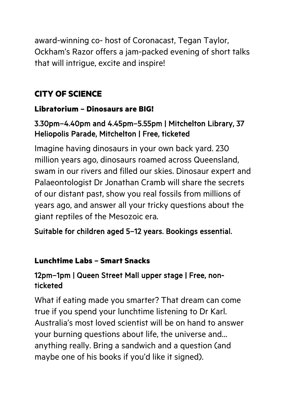award-winning co- host of Coronacast, Tegan Taylor, Ockham's Razor offers a jam-packed evening of short talks that will intrigue, excite and inspire!

# **CITY OF SCIENCE**

#### **Libratorium – Dinosaurs are BIG!**

#### 3.30pm–4.40pm and 4.45pm–5.55pm | Mitchelton Library, 37 Heliopolis Parade, Mitchelton | Free, ticketed

Imagine having dinosaurs in your own back yard. 230 million years ago, dinosaurs roamed across Queensland, swam in our rivers and filled our skies. Dinosaur expert and Palaeontologist Dr Jonathan Cramb will share the secrets of our distant past, show you real fossils from millions of years ago, and answer all your tricky questions about the giant reptiles of the Mesozoic era.

Suitable for children aged 5–12 years. Bookings essential.

#### **Lunchtime Labs – Smart Snacks**

#### 12pm–1pm | Queen Street Mall upper stage | Free, nonticketed

What if eating made you smarter? That dream can come true if you spend your lunchtime listening to Dr Karl. Australia's most loved scientist will be on hand to answer your burning questions about life, the universe and… anything really. Bring a sandwich and a question (and maybe one of his books if you'd like it signed).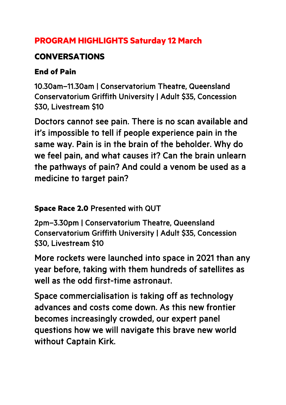## **PROGRAM HIGHLIGHTS Saturday 12 March**

## **CONVERSATIONS**

#### **End of Pain**

10.30am–11.30am | Conservatorium Theatre, Queensland Conservatorium Griffith University | Adult \$35, Concession \$30, Livestream \$10

Doctors cannot see pain. There is no scan available and it's impossible to tell if people experience pain in the same way. Pain is in the brain of the beholder. Why do we feel pain, and what causes it? Can the brain unlearn the pathways of pain? And could a venom be used as a medicine to target pain?

#### **Space Race 2.0** Presented with QUT

2pm–3.30pm | Conservatorium Theatre, Queensland Conservatorium Griffith University | Adult \$35, Concession \$30, Livestream \$10

More rockets were launched into space in 2021 than any year before, taking with them hundreds of satellites as well as the odd first-time astronaut.

Space commercialisation is taking off as technology advances and costs come down. As this new frontier becomes increasingly crowded, our expert panel questions how we will navigate this brave new world without Captain Kirk.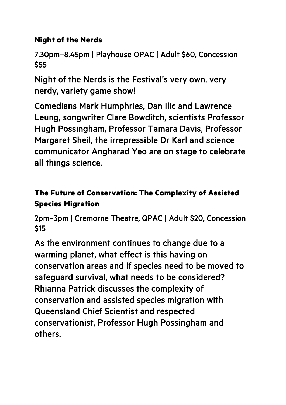#### **Night of the Nerds**

7.30pm–8.45pm | Playhouse QPAC | Adult \$60, Concession \$55

Night of the Nerds is the Festival's very own, very nerdy, variety game show!

Comedians Mark Humphries, Dan Ilic and Lawrence Leung, songwriter Clare Bowditch, scientists Professor Hugh Possingham, Professor Tamara Davis, Professor Margaret Sheil, the irrepressible Dr Karl and science communicator Angharad Yeo are on stage to celebrate all things science.

# **The Future of Conservation: The Complexity of Assisted Species Migration**

2pm–3pm | Cremorne Theatre, QPAC | Adult \$20, Concession \$15

As the environment continues to change due to a warming planet, what effect is this having on conservation areas and if species need to be moved to safeguard survival, what needs to be considered? Rhianna Patrick discusses the complexity of conservation and assisted species migration with Queensland Chief Scientist and respected conservationist, Professor Hugh Possingham and others.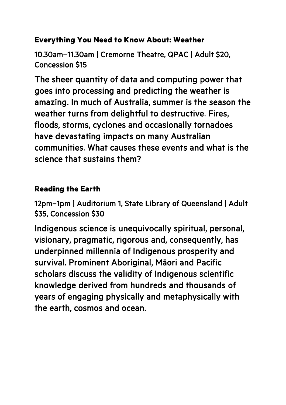#### **Everything You Need to Know About: Weather**

10.30am–11.30am | Cremorne Theatre, QPAC | Adult \$20, Concession \$15

The sheer quantity of data and computing power that goes into processing and predicting the weather is amazing. In much of Australia, summer is the season the weather turns from delightful to destructive. Fires, floods, storms, cyclones and occasionally tornadoes have devastating impacts on many Australian communities. What causes these events and what is the science that sustains them?

#### **Reading the Earth**

12pm–1pm | Auditorium 1, State Library of Queensland | Adult \$35, Concession \$30

Indigenous science is unequivocally spiritual, personal, visionary, pragmatic, rigorous and, consequently, has underpinned millennia of Indigenous prosperity and survival. Prominent Aboriginal, Māori and Pacific scholars discuss the validity of Indigenous scientific knowledge derived from hundreds and thousands of years of engaging physically and metaphysically with the earth, cosmos and ocean.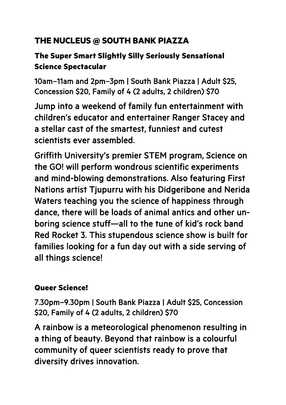# **THE NUCLEUS @ SOUTH BANK PIAZZA**

## **The Super Smart Slightly Silly Seriously Sensational Science Spectacular**

10am–11am and 2pm–3pm | South Bank Piazza | Adult \$25, Concession \$20, Family of 4 (2 adults, 2 children) \$70

Jump into a weekend of family fun entertainment with children's educator and entertainer Ranger Stacey and a stellar cast of the smartest, funniest and cutest scientists ever assembled.

Griffith University's premier STEM program, Science on the GO! will perform wondrous scientific experiments and mind-blowing demonstrations. Also featuring First Nations artist Tjupurru with his Didgeribone and Nerida Waters teaching you the science of happiness through dance, there will be loads of animal antics and other unboring science stuff—all to the tune of kid's rock band Red Rocket 3. This stupendous science show is built for families looking for a fun day out with a side serving of all things science!

#### **Queer Science!**

7.30pm–9.30pm | South Bank Piazza | Adult \$25, Concession \$20, Family of 4 (2 adults, 2 children) \$70

A rainbow is a meteorological phenomenon resulting in a thing of beauty. Beyond that rainbow is a colourful community of queer scientists ready to prove that diversity drives innovation.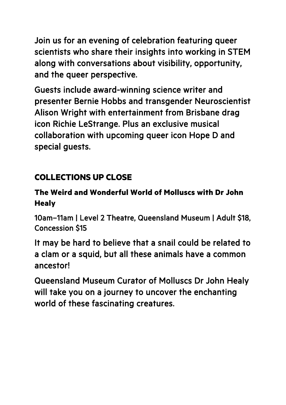Join us for an evening of celebration featuring queer scientists who share their insights into working in STEM along with conversations about visibility, opportunity, and the queer perspective.

Guests include award-winning science writer and presenter Bernie Hobbs and transgender Neuroscientist Alison Wright with entertainment from Brisbane drag icon Richie LeStrange. Plus an exclusive musical collaboration with upcoming queer icon Hope D and special guests.

# **COLLECTIONS UP CLOSE**

## **The Weird and Wonderful World of Molluscs with Dr John Healy**

10am–11am | Level 2 Theatre, Queensland Museum | Adult \$18, Concession \$15

It may be hard to believe that a snail could be related to a clam or a squid, but all these animals have a common ancestor!

Queensland Museum Curator of Molluscs Dr John Healy will take you on a journey to uncover the enchanting world of these fascinating creatures.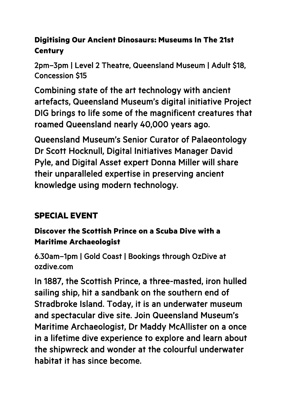## **Digitising Our Ancient Dinosaurs: Museums In The 21st Century**

2pm–3pm | Level 2 Theatre, Queensland Museum | Adult \$18, Concession \$15

Combining state of the art technology with ancient artefacts, Queensland Museum's digital initiative Project DIG brings to life some of the magnificent creatures that roamed Queensland nearly 40,000 years ago.

Queensland Museum's Senior Curator of Palaeontology Dr Scott Hocknull, Digital Initiatives Manager David Pyle, and Digital Asset expert Donna Miller will share their unparalleled expertise in preserving ancient knowledge using modern technology.

# **SPECIAL EVENT**

#### **Discover the Scottish Prince on a Scuba Dive with a Maritime Archaeologist**

6.30am–1pm | Gold Coast | Bookings through OzDive at ozdive.com

In 1887, the Scottish Prince, a three-masted, iron hulled sailing ship, hit a sandbank on the southern end of Stradbroke Island. Today, it is an underwater museum and spectacular dive site. Join Queensland Museum's Maritime Archaeologist, Dr Maddy McAllister on a once in a lifetime dive experience to explore and learn about the shipwreck and wonder at the colourful underwater habitat it has since become.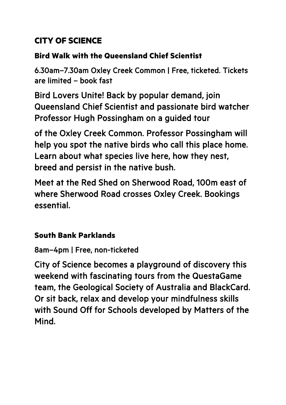# **CITY OF SCIENCE**

#### **Bird Walk with the Queensland Chief Scientist**

6.30am–7.30am Oxley Creek Common | Free, ticketed. Tickets are limited – book fast

Bird Lovers Unite! Back by popular demand, join Queensland Chief Scientist and passionate bird watcher Professor Hugh Possingham on a guided tour

of the Oxley Creek Common. Professor Possingham will help you spot the native birds who call this place home. Learn about what species live here, how they nest, breed and persist in the native bush.

Meet at the Red Shed on Sherwood Road, 100m east of where Sherwood Road crosses Oxley Creek. Bookings essential.

#### **South Bank Parklands**

# 8am–4pm | Free, non-ticketed

City of Science becomes a playground of discovery this weekend with fascinating tours from the QuestaGame team, the Geological Society of Australia and BlackCard. Or sit back, relax and develop your mindfulness skills with Sound Off for Schools developed by Matters of the Mind.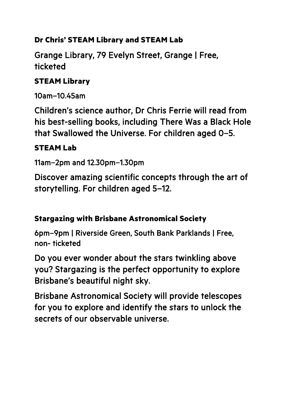#### **Dr Chris' STEAM Library and STEAM Lab**

Grange Library, 79 Evelyn Street, Grange | Free, ticketed

#### **STEAM Library**

10am–10.45am

Children's science author, Dr Chris Ferrie will read from his best-selling books, including There Was a Black Hole that Swallowed the Universe. For children aged 0–5.

#### **STEAM Lab**

11am–2pm and 12.30pm–1.30pm

Discover amazing scientific concepts through the art of storytelling. For children aged 5–12.

#### **Stargazing with Brisbane Astronomical Society**

6pm–9pm | Riverside Green, South Bank Parklands | Free, non- ticketed

Do you ever wonder about the stars twinkling above you? Stargazing is the perfect opportunity to explore Brisbane's beautiful night sky.

Brisbane Astronomical Society will provide telescopes for you to explore and identify the stars to unlock the secrets of our observable universe.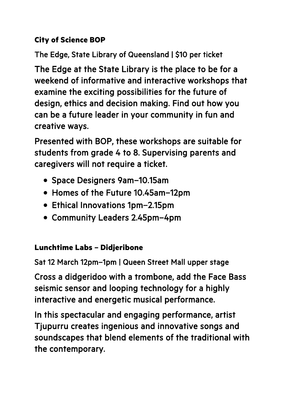#### **City of Science BOP**

The Edge, State Library of Queensland | \$10 per ticket

The Edge at the State Library is the place to be for a weekend of informative and interactive workshops that examine the exciting possibilities for the future of design, ethics and decision making. Find out how you can be a future leader in your community in fun and creative ways.

Presented with BOP, these workshops are suitable for students from grade 4 to 8. Supervising parents and caregivers will not require a ticket.

- Space Designers 9am–10.15am
- Homes of the Future 10.45am–12pm
- Ethical Innovations 1pm–2.15pm
- Community Leaders 2.45pm–4pm

#### **Lunchtime Labs – Didjeribone**

Sat 12 March 12pm–1pm | Queen Street Mall upper stage

Cross a didgeridoo with a trombone, add the Face Bass seismic sensor and looping technology for a highly interactive and energetic musical performance.

In this spectacular and engaging performance, artist Tjupurru creates ingenious and innovative songs and soundscapes that blend elements of the traditional with the contemporary.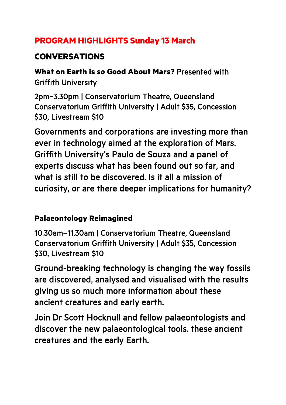## **PROGRAM HIGHLIGHTS Sunday 13 March**

# **CONVERSATIONS**

**What on Earth is so Good About Mars?** Presented with Griffith University

2pm–3.30pm | Conservatorium Theatre, Queensland Conservatorium Griffith University | Adult \$35, Concession \$30, Livestream \$10

Governments and corporations are investing more than ever in technology aimed at the exploration of Mars. Griffith University's Paulo de Souza and a panel of experts discuss what has been found out so far, and what is still to be discovered. Is it all a mission of curiosity, or are there deeper implications for humanity?

#### **Palaeontology Reimagined**

10.30am–11.30am | Conservatorium Theatre, Queensland Conservatorium Griffith University | Adult \$35, Concession \$30, Livestream \$10

Ground-breaking technology is changing the way fossils are discovered, analysed and visualised with the results giving us so much more information about these ancient creatures and early earth.

Join Dr Scott Hocknull and fellow palaeontologists and discover the new palaeontological tools. these ancient creatures and the early Earth.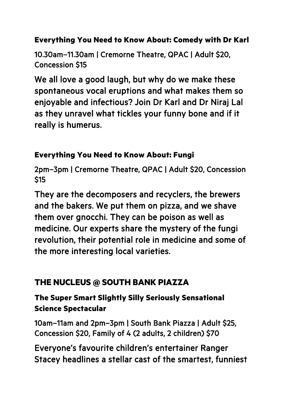#### **Everything You Need to Know About: Comedy with Dr Karl**

10.30am–11.30am | Cremorne Theatre, QPAC | Adult \$20, Concession \$15

We all love a good laugh, but why do we make these spontaneous vocal eruptions and what makes them so enjoyable and infectious? Join Dr Karl and Dr Niraj Lal as they unravel what tickles your funny bone and if it really is humerus.

#### **Everything You Need to Know About: Fungi**

2pm–3pm | Cremorne Theatre, QPAC | Adult \$20, Concession **\$15** 

They are the decomposers and recyclers, the brewers and the bakers. We put them on pizza, and we shave them over gnocchi. They can be poison as well as medicine. Our experts share the mystery of the fungi revolution, their potential role in medicine and some of the more interesting local varieties.

# **THE NUCLEUS @ SOUTH BANK PIAZZA**

## **The Super Smart Slightly Silly Seriously Sensational Science Spectacular**

10am–11am and 2pm–3pm | South Bank Piazza | Adult \$25, Concession \$20, Family of 4 (2 adults, 2 children) \$70

Everyone's favourite children's entertainer Ranger Stacey headlines a stellar cast of the smartest, funniest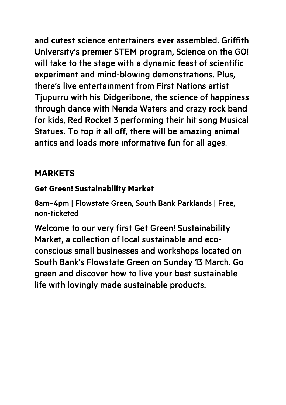and cutest science entertainers ever assembled. Griffith University's premier STEM program, Science on the GO! will take to the stage with a dynamic feast of scientific experiment and mind-blowing demonstrations. Plus, there's live entertainment from First Nations artist Tjupurru with his Didgeribone, the science of happiness through dance with Nerida Waters and crazy rock band for kids, Red Rocket 3 performing their hit song Musical Statues. To top it all off, there will be amazing animal antics and loads more informative fun for all ages.

#### **MARKETS**

#### **Get Green! Sustainability Market**

8am–4pm | Flowstate Green, South Bank Parklands | Free, non-ticketed

Welcome to our very first Get Green! Sustainability Market, a collection of local sustainable and ecoconscious small businesses and workshops located on South Bank's Flowstate Green on Sunday 13 March. Go green and discover how to live your best sustainable life with lovingly made sustainable products.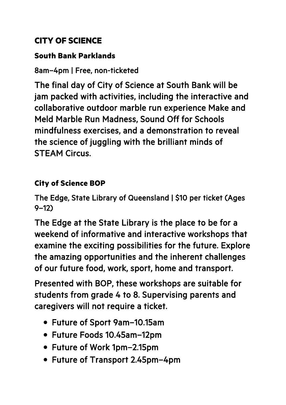## **CITY OF SCIENCE**

#### **South Bank Parklands**

#### 8am–4pm | Free, non-ticketed

The final day of City of Science at South Bank will be jam packed with activities, including the interactive and collaborative outdoor marble run experience Make and Meld Marble Run Madness, Sound Off for Schools mindfulness exercises, and a demonstration to reveal the science of juggling with the brilliant minds of STEAM Circus.

#### **City of Science BOP**

The Edge, State Library of Queensland | \$10 per ticket (Ages 9–12)

The Edge at the State Library is the place to be for a weekend of informative and interactive workshops that examine the exciting possibilities for the future. Explore the amazing opportunities and the inherent challenges of our future food, work, sport, home and transport.

Presented with BOP, these workshops are suitable for students from grade 4 to 8. Supervising parents and caregivers will not require a ticket.

- Future of Sport 9am–10.15am
- Future Foods 10.45am–12pm
- Future of Work 1pm–2.15pm
- Future of Transport 2.45pm–4pm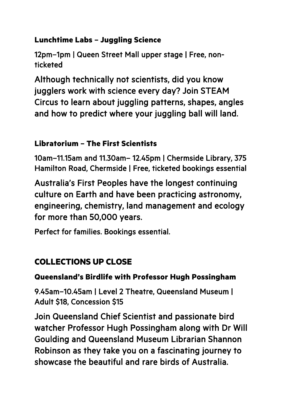#### **Lunchtime Labs – Juggling Science**

12pm–1pm | Queen Street Mall upper stage | Free, nonticketed

Although technically not scientists, did you know jugglers work with science every day? Join STEAM Circus to learn about juggling patterns, shapes, angles and how to predict where your juggling ball will land.

#### **Libratorium – The First Scientists**

10am–11.15am and 11.30am– 12.45pm | Chermside Library, 375 Hamilton Road, Chermside | Free, ticketed bookings essential

Australia's First Peoples have the longest continuing culture on Earth and have been practicing astronomy, engineering, chemistry, land management and ecology for more than 50,000 years.

Perfect for families. Bookings essential.

# **COLLECTIONS UP CLOSE**

#### **Queensland's Birdlife with Professor Hugh Possingham**

9.45am–10.45am | Level 2 Theatre, Queensland Museum | Adult \$18, Concession \$15

Join Queensland Chief Scientist and passionate bird watcher Professor Hugh Possingham along with Dr Will Goulding and Queensland Museum Librarian Shannon Robinson as they take you on a fascinating journey to showcase the beautiful and rare birds of Australia.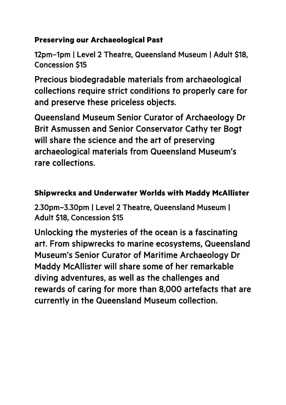#### **Preserving our Archaeological Past**

12pm–1pm | Level 2 Theatre, Queensland Museum | Adult \$18, Concession \$15

Precious biodegradable materials from archaeological collections require strict conditions to properly care for and preserve these priceless objects.

Queensland Museum Senior Curator of Archaeology Dr Brit Asmussen and Senior Conservator Cathy ter Bogt will share the science and the art of preserving archaeological materials from Queensland Museum's rare collections.

#### **Shipwrecks and Underwater Worlds with Maddy McAllister**

2.30pm–3.30pm | Level 2 Theatre, Queensland Museum | Adult \$18, Concession \$15

Unlocking the mysteries of the ocean is a fascinating art. From shipwrecks to marine ecosystems, Queensland Museum's Senior Curator of Maritime Archaeology Dr Maddy McAllister will share some of her remarkable diving adventures, as well as the challenges and rewards of caring for more than 8,000 artefacts that are currently in the Queensland Museum collection.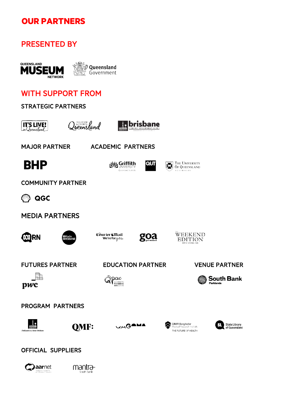## **OUR PARTNERS**

#### PRESENTED BY

Caarnet

mantra south bank



#### WITH SUPPORT FROM

| <b>STRATEGIC PARTNERS</b>                                                |                                                                             |                                                                                                               |
|--------------------------------------------------------------------------|-----------------------------------------------------------------------------|---------------------------------------------------------------------------------------------------------------|
| li <sup>curism</sup><br>Lucensland<br><b>IT'S LIVE!</b><br>inQueensland_ | brisbane<br>ECONOMIC DEVELOPMENT AGENCY<br>COUNCI                           |                                                                                                               |
| <b>MAJOR PARTNER</b>                                                     | <b>ACADEMIC PARTNERS</b>                                                    |                                                                                                               |
| <b>BHP</b>                                                               | QUТ<br><sub>lı</sub> Griffith<br><b>UNIVERSITY</b><br>Queensland, Australia | THE UNIVERSITY<br>鬞<br>OF QUEENSLAND<br>AUSTRALIA                                                             |
| <b>COMMUNITY PARTNER</b>                                                 |                                                                             |                                                                                                               |
| QGC                                                                      |                                                                             |                                                                                                               |
| <b>MEDIA PARTNERS</b>                                                    |                                                                             |                                                                                                               |
| ORN<br><b>KXI Radio</b><br>BRISBANE                                      | Cöurier LMail<br>goa<br>We're for $\mu \sigma \mu$                          | WEEKEND<br>EDITION<br>SLEEP IN: SLOW DOWN, ENJOY                                                              |
| <b>FUTURES PARTNER</b>                                                   | <b>EDUCATION PARTNER</b>                                                    | <b>VENUE PARTNER</b>                                                                                          |
| pwc                                                                      | Dac<br>QUEENSLAND<br>PERFORMING<br><b>ARTS CENTRE</b>                       | <b>South Bank</b><br>Parklands                                                                                |
| <b>PROGRAM PARTNERS</b>                                                  |                                                                             |                                                                                                               |
| <b>QMF:</b><br>Dedicated to a better Brisbane                            | WAGAMA                                                                      | QIMR Berghofer<br><b>State Library</b><br>Medical Research Institute<br>of Queensland<br>THE FUTURE OF HEALTH |
| <b>OFFICIAL SUPPLIERS</b>                                                |                                                                             |                                                                                                               |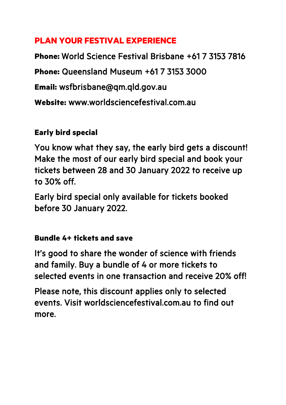### **PLAN YOUR FESTIVAL EXPERIENCE**

**Phone:** World Science Festival Brisbane +61 7 3153 7816 **Phone:** Queensland Museum +61 7 3153 3000 **Email:** wsfbrisbane@qm.qld.gov.au **Website:** www.worldsciencefestival.com.au

# **Early bird special**

You know what they say, the early bird gets a discount! Make the most of our early bird special and book your tickets between 28 and 30 January 2022 to receive up to 30% off.

Early bird special only available for tickets booked before 30 January 2022.

#### **Bundle 4+ tickets and save**

It's good to share the wonder of science with friends and family. Buy a bundle of 4 or more tickets to selected events in one transaction and receive 20% off!

Please note, this discount applies only to selected events. Visit worldsciencefestival.com.au to find out more.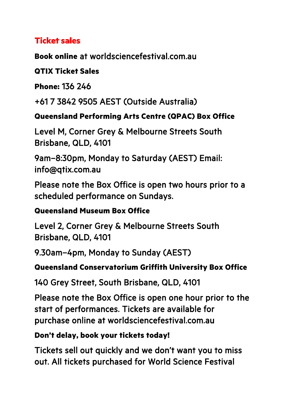#### **Ticket sales**

**Book online** at worldsciencefestival.com.au

#### **QTIX Ticket Sales**

**Phone:** 136 246

+61 7 3842 9505 AEST (Outside Australia)

#### **Queensland Performing Arts Centre (QPAC) Box Office**

Level M, Corner Grey & Melbourne Streets South Brisbane, QLD, 4101

9am–8:30pm, Monday to Saturday (AEST) Email: info@qtix.com.au

Please note the Box Office is open two hours prior to a scheduled performance on Sundays.

#### **Queensland Museum Box Office**

Level 2, Corner Grey & Melbourne Streets South Brisbane, QLD, 4101

9.30am–4pm, Monday to Sunday (AEST)

#### **Queensland Conservatorium Griffith University Box Office**

140 Grey Street, South Brisbane, QLD, 4101

Please note the Box Office is open one hour prior to the start of performances. Tickets are available for purchase online at worldsciencefestival.com.au

#### **Don't delay, book your tickets today!**

Tickets sell out quickly and we don't want you to miss out. All tickets purchased for World Science Festival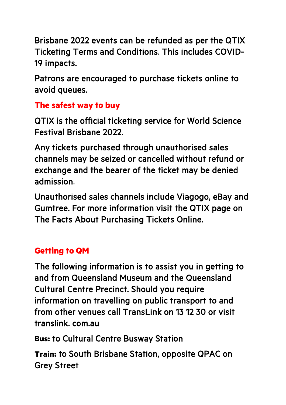Brisbane 2022 events can be refunded as per the QTIX Ticketing Terms and Conditions. This includes COVID-19 impacts.

Patrons are encouraged to purchase tickets online to avoid queues.

# **The safest way to buy**

QTIX is the official ticketing service for World Science Festival Brisbane 2022.

Any tickets purchased through unauthorised sales channels may be seized or cancelled without refund or exchange and the bearer of the ticket may be denied admission.

Unauthorised sales channels include Viagogo, eBay and Gumtree. For more information visit the QTIX page on The Facts About Purchasing Tickets Online.

# **Getting to QM**

The following information is to assist you in getting to and from Queensland Museum and the Queensland Cultural Centre Precinct. Should you require information on travelling on public transport to and from other venues call TransLink on 13 12 30 or visit translink. com.au

**Bus:** to Cultural Centre Busway Station

**Train:** to South Brisbane Station, opposite QPAC on Grey Street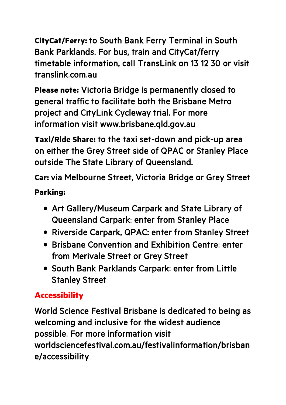**CityCat/Ferry:** to South Bank Ferry Terminal in South Bank Parklands. For bus, train and CityCat/ferry timetable information, call TransLink on 13 12 30 or visit translink.com.au

**Please note:** Victoria Bridge is permanently closed to general traffic to facilitate both the Brisbane Metro project and CityLink Cycleway trial. For more information visit www.brisbane.qld.gov.au

**Taxi/Ride Share:** to the taxi set-down and pick-up area on either the Grey Street side of QPAC or Stanley Place outside The State Library of Queensland.

**Car:** via Melbourne Street, Victoria Bridge or Grey Street

#### **Parking:**

- Art Gallery/Museum Carpark and State Library of Queensland Carpark: enter from Stanley Place
- Riverside Carpark, QPAC: enter from Stanley Street
- Brisbane Convention and Exhibition Centre: enter from Merivale Street or Grey Street
- South Bank Parklands Carpark: enter from Little Stanley Street

# **Accessibility**

World Science Festival Brisbane is dedicated to being as welcoming and inclusive for the widest audience possible. For more information visit worldsciencefestival.com.au/festivalinformation/brisban e/accessibility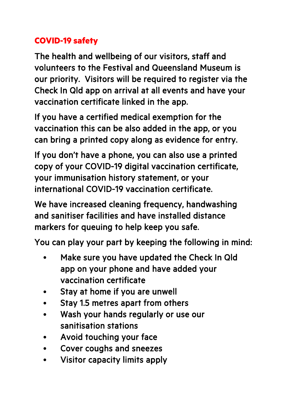# **COVID-19 safety**

The health and wellbeing of our visitors, staff and volunteers to the Festival and Queensland Museum is our priority. Visitors will be required to register via the Check In Qld app on arrival at all events and have your vaccination certificate linked in the app.

If you have a certified medical exemption for the vaccination this can be also added in the app, or you can bring a printed copy along as evidence for entry.

If you don't have a phone, you can also use a printed copy of your COVID-19 digital vaccination certificate, your immunisation history statement, or your international COVID-19 vaccination certificate.

We have increased cleaning frequency, handwashing and sanitiser facilities and have installed distance markers for queuing to help keep you safe.

You can play your part by keeping the following in mind:

- Make sure you have updated the Check In Qld app on your phone and have added your vaccination certificate
- Stay at home if you are unwell
- Stay 1.5 metres apart from others
- Wash your hands regularly or use our sanitisation stations
- Avoid touching your face
- Cover coughs and sneezes
- Visitor capacity limits apply